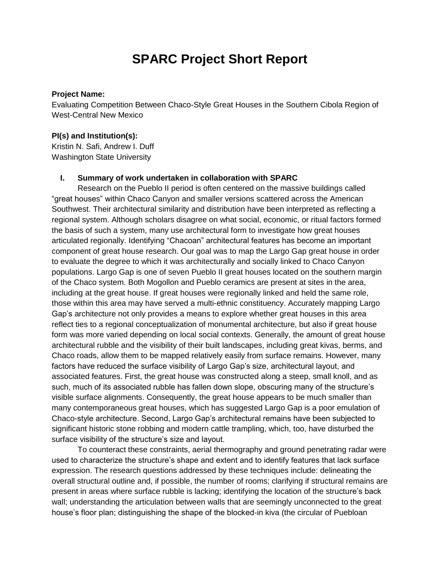# **SPARC Project Short Report**

#### **Project Name:**

Evaluating Competition Between Chaco-Style Great Houses in the Southern Cibola Region of West-Central New Mexico

### **PI(s) and Institution(s):**

Kristin N. Safi, Andrew I. Duff Washington State University

## **I. Summary of work undertaken in collaboration with SPARC**

Research on the Pueblo II period is often centered on the massive buildings called "great houses" within Chaco Canyon and smaller versions scattered across the American Southwest. Their architectural similarity and distribution have been interpreted as reflecting a regional system. Although scholars disagree on what social, economic, or ritual factors formed the basis of such a system, many use architectural form to investigate how great houses articulated regionally. Identifying "Chacoan" architectural features has become an important component of great house research. Our goal was to map the Largo Gap great house in order to evaluate the degree to which it was architecturally and socially linked to Chaco Canyon populations. Largo Gap is one of seven Pueblo II great houses located on the southern margin of the Chaco system. Both Mogollon and Pueblo ceramics are present at sites in the area, including at the great house. If great houses were regionally linked and held the same role, those within this area may have served a multi-ethnic constituency. Accurately mapping Largo Gap's architecture not only provides a means to explore whether great houses in this area reflect ties to a regional conceptualization of monumental architecture, but also if great house form was more varied depending on local social contexts. Generally, the amount of great house architectural rubble and the visibility of their built landscapes, including great kivas, berms, and Chaco roads, allow them to be mapped relatively easily from surface remains. However, many factors have reduced the surface visibility of Largo Gap's size, architectural layout, and associated features. First, the great house was constructed along a steep, small knoll, and as such, much of its associated rubble has fallen down slope, obscuring many of the structure's visible surface alignments. Consequently, the great house appears to be much smaller than many contemporaneous great houses, which has suggested Largo Gap is a poor emulation of Chaco-style architecture. Second, Largo Gap's architectural remains have been subjected to significant historic stone robbing and modern cattle trampling, which, too, have disturbed the surface visibility of the structure's size and layout.

To counteract these constraints, aerial thermography and ground penetrating radar were used to characterize the structure's shape and extent and to identify features that lack surface expression. The research questions addressed by these techniques include: delineating the overall structural outline and, if possible, the number of rooms; clarifying if structural remains are present in areas where surface rubble is lacking; identifying the location of the structure's back wall; understanding the articulation between walls that are seemingly unconnected to the great house's floor plan; distinguishing the shape of the blocked-in kiva (the circular of Puebloan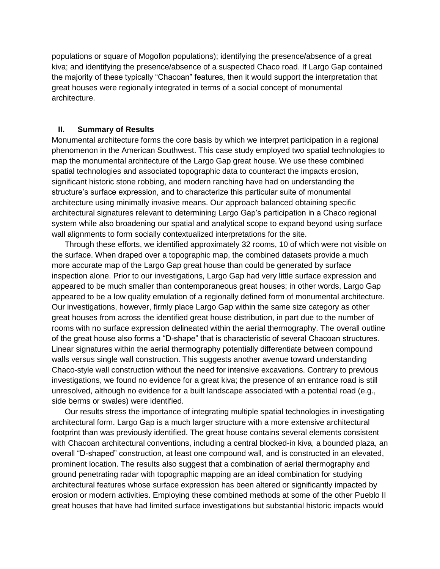populations or square of Mogollon populations); identifying the presence/absence of a great kiva; and identifying the presence/absence of a suspected Chaco road. If Largo Gap contained the majority of these typically "Chacoan" features, then it would support the interpretation that great houses were regionally integrated in terms of a social concept of monumental architecture.

#### **II. Summary of Results**

Monumental architecture forms the core basis by which we interpret participation in a regional phenomenon in the American Southwest. This case study employed two spatial technologies to map the monumental architecture of the Largo Gap great house. We use these combined spatial technologies and associated topographic data to counteract the impacts erosion, significant historic stone robbing, and modern ranching have had on understanding the structure's surface expression, and to characterize this particular suite of monumental architecture using minimally invasive means. Our approach balanced obtaining specific architectural signatures relevant to determining Largo Gap's participation in a Chaco regional system while also broadening our spatial and analytical scope to expand beyond using surface wall alignments to form socially contextualized interpretations for the site.

Through these efforts, we identified approximately 32 rooms, 10 of which were not visible on the surface. When draped over a topographic map, the combined datasets provide a much more accurate map of the Largo Gap great house than could be generated by surface inspection alone. Prior to our investigations, Largo Gap had very little surface expression and appeared to be much smaller than contemporaneous great houses; in other words, Largo Gap appeared to be a low quality emulation of a regionally defined form of monumental architecture. Our investigations, however, firmly place Largo Gap within the same size category as other great houses from across the identified great house distribution, in part due to the number of rooms with no surface expression delineated within the aerial thermography. The overall outline of the great house also forms a "D-shape" that is characteristic of several Chacoan structures. Linear signatures within the aerial thermography potentially differentiate between compound walls versus single wall construction. This suggests another avenue toward understanding Chaco-style wall construction without the need for intensive excavations. Contrary to previous investigations, we found no evidence for a great kiva; the presence of an entrance road is still unresolved, although no evidence for a built landscape associated with a potential road (e.g., side berms or swales) were identified.

Our results stress the importance of integrating multiple spatial technologies in investigating architectural form. Largo Gap is a much larger structure with a more extensive architectural footprint than was previously identified. The great house contains several elements consistent with Chacoan architectural conventions, including a central blocked-in kiva, a bounded plaza, an overall "D-shaped" construction, at least one compound wall, and is constructed in an elevated, prominent location. The results also suggest that a combination of aerial thermography and ground penetrating radar with topographic mapping are an ideal combination for studying architectural features whose surface expression has been altered or significantly impacted by erosion or modern activities. Employing these combined methods at some of the other Pueblo II great houses that have had limited surface investigations but substantial historic impacts would